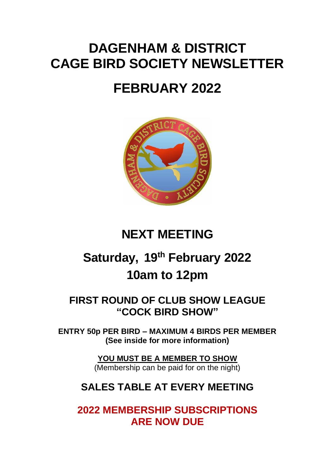## **DAGENHAM & DISTRICT CAGE BIRD SOCIETY NEWSLETTER**

# **FEBRUARY 2022**



## **NEXT MEETING**

## **Saturday, 19 th February 2022 10am to 12pm**

## **FIRST ROUND OF CLUB SHOW LEAGUE "COCK BIRD SHOW"**

**ENTRY 50p PER BIRD – MAXIMUM 4 BIRDS PER MEMBER (See inside for more information)**

> **YOU MUST BE A MEMBER TO SHOW** (Membership can be paid for on the night)

## **SALES TABLE AT EVERY MEETING**

**2022 MEMBERSHIP SUBSCRIPTIONS ARE NOW DUE**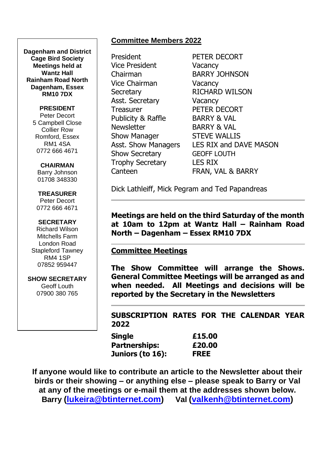#### **Committee Members 2022**

**Dagenham and District Cage Bird Society Meetings held at Wantz Hall Rainham Road North Dagenham, Essex RM10 7DX**

> **PRESIDENT** Peter Decort 5 Campbell Close Collier Row Romford, Essex RM1 4SA 0772 666 4671

**CHAIRMAN** Barry Johnson 01708 348330

**TREASURER** Peter Decort 0772 666 4671

**SECRETARY** Richard Wilson Mitchells Farm London Road Stapleford Tawney RM4 1SP 07852 959447

**SHOW SECRETARY** Geoff Louth 07900 380 765

President PFTFR DFCORT Vice President Vacancy Chairman BARRY JOHNSON Vice Chairman Vacancy Secretary RICHARD WILSON Asst. Secretary Vacancy Treasurer PETER DECORT Publicity & Raffle BARRY & VAL Newsletter BARRY & VAL Show Manager STEVE WALLIS Show Secretary **GEOFF LOUTH** Trophy Secretary LES RIX

Asst. Show Managers LES RIX and DAVE MASON Canteen **FRAN, VAL & BARRY** 

Dick Lathleiff, Mick Pegram and Ted Papandreas

**Meetings are held on the third Saturday of the month at 10am to 12pm at Wantz Hall – Rainham Road North – Dagenham – Essex RM10 7DX**

#### **Committee Meetings**

**The Show Committee will arrange the Shows. General Committee Meetings will be arranged as and when needed. All Meetings and decisions will be reported by the Secretary in the Newsletters**

**SUBSCRIPTION RATES FOR THE CALENDAR YEAR 2022**

| <b>Single</b>        | £15.00      |
|----------------------|-------------|
| <b>Partnerships:</b> | £20.00      |
| Juniors (to 16):     | <b>FREE</b> |

**If anyone would like to contribute an article to the Newsletter about their birds or their showing – or anything else – please speak to Barry or Val at any of the meetings or e-mail them at the addresses shown below. Barry [\(lukeira@btinternet.com\)](mailto:lukeira@btinternet.com) Val [\(valkenh@btinternet.com\)](mailto:valkenh@btinternet.com)**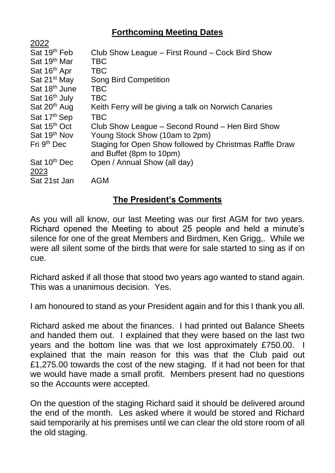## **Forthcoming Meeting Dates**

 $2022$ 

| <u>ZUZZ</u>               |                                                         |
|---------------------------|---------------------------------------------------------|
| Sat 19 <sup>th</sup> Feb  | Club Show League – First Round – Cock Bird Show         |
| Sat 19 <sup>th</sup> Mar  | <b>TBC</b>                                              |
| Sat 16 <sup>th</sup> Apr  | <b>TBC</b>                                              |
| Sat 21 <sup>st</sup> May  | <b>Song Bird Competition</b>                            |
| Sat 18 <sup>th</sup> June | <b>TBC</b>                                              |
| Sat 16 <sup>th</sup> July | <b>TBC</b>                                              |
| Sat 20 <sup>th</sup> Aug  | Keith Ferry will be giving a talk on Norwich Canaries   |
| Sat 17 <sup>th</sup> Sep  | <b>TBC</b>                                              |
| Sat 15 <sup>th</sup> Oct  | Club Show League – Second Round – Hen Bird Show         |
| Sat 19 <sup>th</sup> Nov  | Young Stock Show (10am to 2pm)                          |
| Fri 9 <sup>th</sup> Dec   | Staging for Open Show followed by Christmas Raffle Draw |
|                           | and Buffet (8pm to 10pm)                                |
| Sat 10 <sup>th</sup> Dec  | Open / Annual Show (all day)                            |
| 2023                      |                                                         |
| Sat 21st Jan              | <b>AGM</b>                                              |

## **The President's Comments**

As you will all know, our last Meeting was our first AGM for two years. Richard opened the Meeting to about 25 people and held a minute's silence for one of the great Members and Birdmen, Ken Grigg,. While we were all silent some of the birds that were for sale started to sing as if on cue.

Richard asked if all those that stood two years ago wanted to stand again. This was a unanimous decision. Yes.

I am honoured to stand as your President again and for this I thank you all.

Richard asked me about the finances. I had printed out Balance Sheets and handed them out. I explained that they were based on the last two years and the bottom line was that we lost approximately £750.00. I explained that the main reason for this was that the Club paid out £1,275.00 towards the cost of the new staging. If it had not been for that we would have made a small profit. Members present had no questions so the Accounts were accepted.

On the question of the staging Richard said it should be delivered around the end of the month. Les asked where it would be stored and Richard said temporarily at his premises until we can clear the old store room of all the old staging.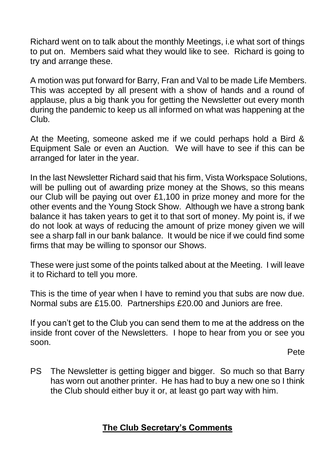Richard went on to talk about the monthly Meetings, i.e what sort of things to put on. Members said what they would like to see. Richard is going to try and arrange these.

A motion was put forward for Barry, Fran and Val to be made Life Members. This was accepted by all present with a show of hands and a round of applause, plus a big thank you for getting the Newsletter out every month during the pandemic to keep us all informed on what was happening at the Club.

At the Meeting, someone asked me if we could perhaps hold a Bird & Equipment Sale or even an Auction. We will have to see if this can be arranged for later in the year.

In the last Newsletter Richard said that his firm, Vista Workspace Solutions, will be pulling out of awarding prize money at the Shows, so this means our Club will be paying out over £1,100 in prize money and more for the other events and the Young Stock Show. Although we have a strong bank balance it has taken years to get it to that sort of money. My point is, if we do not look at ways of reducing the amount of prize money given we will see a sharp fall in our bank balance. It would be nice if we could find some firms that may be willing to sponsor our Shows.

These were just some of the points talked about at the Meeting. I will leave it to Richard to tell you more.

This is the time of year when I have to remind you that subs are now due. Normal subs are £15.00. Partnerships £20.00 and Juniors are free.

If you can't get to the Club you can send them to me at the address on the inside front cover of the Newsletters. I hope to hear from you or see you soon.

Pete

PS The Newsletter is getting bigger and bigger. So much so that Barry has worn out another printer. He has had to buy a new one so I think the Club should either buy it or, at least go part way with him.

#### **The Club Secretary's Comments**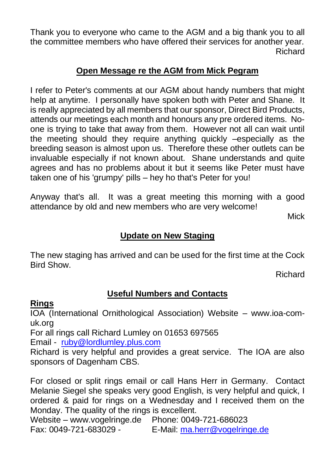Thank you to everyone who came to the AGM and a big thank you to all the committee members who have offered their services for another year. Richard

## **Open Message re the AGM from Mick Pegram**

I refer to Peter's comments at our AGM about handy numbers that might help at anytime. I personally have spoken both with Peter and Shane. It is really appreciated by all members that our sponsor, Direct Bird Products, attends our meetings each month and honours any pre ordered items. Noone is trying to take that away from them. However not all can wait until the meeting should they require anything quickly –especially as the breeding season is almost upon us. Therefore these other outlets can be invaluable especially if not known about. Shane understands and quite agrees and has no problems about it but it seems like Peter must have taken one of his 'grumpy' pills – hey ho that's Peter for you!

Anyway that's all. It was a great meeting this morning with a good attendance by old and new members who are very welcome!

**Mick** 

## **Update on New Staging**

The new staging has arrived and can be used for the first time at the Cock Bird Show.

Richard

## **Useful Numbers and Contacts**

#### **Rings**

IOA (International Ornithological Association) Website – www.ioa-comuk.org

For all rings call Richard Lumley on 01653 697565

Email - [ruby@lordlumley.plus.com](mailto:ruby@lordlumley.plus.com)

Richard is very helpful and provides a great service. The IOA are also sponsors of Dagenham CBS.

For closed or split rings email or call Hans Herr in Germany. Contact Melanie Siegel she speaks very good English, is very helpful and quick, I ordered & paid for rings on a Wednesday and I received them on the Monday. The quality of the rings is excellent.

Website – www.vogelringe.de Phone: 0049-721-686023 Fax: 0049-721-683029 - E-Mail: [ma.herr@vogelringe.de](mailto:ma.herr@vogelringe.de)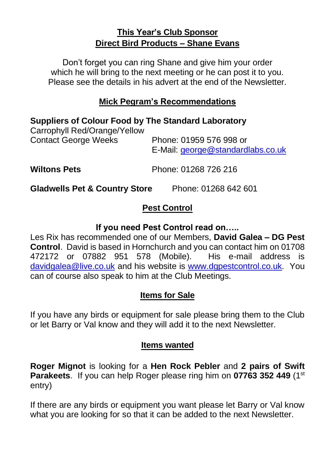## **This Year's Club Sponsor Direct Bird Products – Shane Evans**

Don't forget you can ring Shane and give him your order which he will bring to the next meeting or he can post it to you. Please see the details in his advert at the end of the Newsletter.

#### **Mick Pegram's Recommendations**

**Suppliers of Colour Food by The Standard Laboratory**

Carrophyll Red/Orange/Yellow Contact George Weeks Phone: 01959 576 998 or

E-Mail: [george@standardlabs.co.uk](mailto:george@standardlabs.co.uk)

**Wiltons Pets** Phone: 01268 726 216

**Gladwells Pet & Country Store** Phone: 01268 642 601

## **Pest Control**

#### **If you need Pest Control read on…..**

Les Rix has recommended one of our Members, **David Galea – DG Pest Control**. David is based in Hornchurch and you can contact him on 01708 472172 or 07882 951 578 (Mobile). His e-mail address is [davidgalea@live.co.uk](mailto:davidgalea@live.co.uk) and his website is [www.dgpestcontrol.co.uk.](http://www.dgpestcontrol.co.uk/) You can of course also speak to him at the Club Meetings.

#### **Items for Sale**

If you have any birds or equipment for sale please bring them to the Club or let Barry or Val know and they will add it to the next Newsletter.

#### **Items wanted**

**Roger Mignot** is looking for a **Hen Rock Pebler** and **2 pairs of Swift Parakeets**. If you can help Roger please ring him on 07763 352 449 (1<sup>st</sup>) entry)

If there are any birds or equipment you want please let Barry or Val know what you are looking for so that it can be added to the next Newsletter.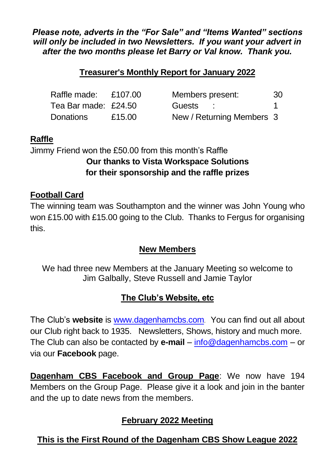*Please note, adverts in the "For Sale" and "Items Wanted" sections will only be included in two Newsletters. If you want your advert in after the two months please let Barry or Val know. Thank you.*

#### **Treasurer's Monthly Report for January 2022**

| Raffle made:         | £107.00 | Members present:          | 30          |
|----------------------|---------|---------------------------|-------------|
| Tea Bar made: £24.50 |         | Guests :                  | $\mathbf 1$ |
| <b>Donations</b>     | £15.00  | New / Returning Members 3 |             |

## **Raffle**

Jimmy Friend won the £50.00 from this month's Raffle **Our thanks to Vista Workspace Solutions for their sponsorship and the raffle prizes**

#### **Football Card**

The winning team was Southampton and the winner was John Young who won £15.00 with £15.00 going to the Club. Thanks to Fergus for organising this.

## **New Members**

We had three new Members at the January Meeting so welcome to Jim Galbally, Steve Russell and Jamie Taylor

## **The Club's Website, etc**

The Club's **website** is [www.dagenhamcbs.com](http://www.dagenhamcbs.com/). You can find out all about our Club right back to 1935. Newsletters, Shows, history and much more. The Club can also be contacted by **e-mail** – [info@dagenhamcbs.com](mailto:info@dagenhamcbs.com) – or via our **Facebook** page.

**Dagenham CBS Facebook and Group Page**: We now have 194 Members on the Group Page. Please give it a look and join in the banter and the up to date news from the members.

## **February 2022 Meeting**

## **This is the First Round of the Dagenham CBS Show League 2022**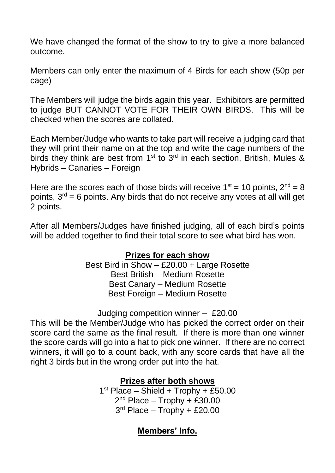We have changed the format of the show to try to give a more balanced outcome.

Members can only enter the maximum of 4 Birds for each show (50p per cage)

The Members will judge the birds again this year. Exhibitors are permitted to judge BUT CANNOT VOTE FOR THEIR OWN BIRDS. This will be checked when the scores are collated.

Each Member/Judge who wants to take part will receive a judging card that they will print their name on at the top and write the cage numbers of the birds they think are best from  $1^{st}$  to  $3^{rd}$  in each section. British, Mules & Hybrids – Canaries – Foreign

Here are the scores each of those birds will receive  $1<sup>st</sup> = 10$  points,  $2<sup>nd</sup> = 8$ points,  $3<sup>rd</sup> = 6$  points. Any birds that do not receive any votes at all will get 2 points.

After all Members/Judges have finished judging, all of each bird's points will be added together to find their total score to see what bird has won.

#### **Prizes for each show**

Best Bird in Show – £20.00 + Large Rosette Best British – Medium Rosette Best Canary – Medium Rosette Best Foreign – Medium Rosette

Judging competition winner – £20.00

This will be the Member/Judge who has picked the correct order on their score card the same as the final result. If there is more than one winner the score cards will go into a hat to pick one winner. If there are no correct winners, it will go to a count back, with any score cards that have all the right 3 birds but in the wrong order put into the hat.

#### **Prizes after both shows**

1<sup>st</sup> Place - Shield + Trophy + £50.00 2<sup>nd</sup> Place - Trophy + £30.00 3<sup>rd</sup> Place - Trophy + £20.00

## **Members' Info.**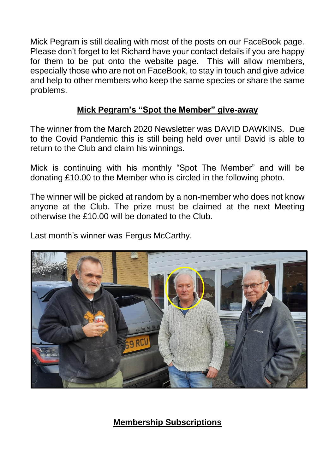Mick Pegram is still dealing with most of the posts on our FaceBook page. Please don't forget to let Richard have your contact details if you are happy for them to be put onto the website page. This will allow members, especially those who are not on FaceBook, to stay in touch and give advice and help to other members who keep the same species or share the same problems.

## **Mick Pegram's "Spot the Member" give-away**

The winner from the March 2020 Newsletter was DAVID DAWKINS. Due to the Covid Pandemic this is still being held over until David is able to return to the Club and claim his winnings.

Mick is continuing with his monthly "Spot The Member" and will be donating £10.00 to the Member who is circled in the following photo.

The winner will be picked at random by a non-member who does not know anyone at the Club. The prize must be claimed at the next Meeting otherwise the £10.00 will be donated to the Club.

Last month's winner was Fergus McCarthy.



**Membership Subscriptions**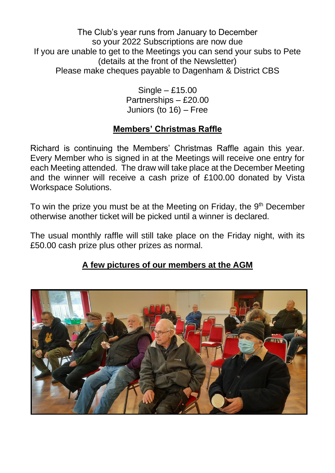The Club's year runs from January to December so your 2022 Subscriptions are now due If you are unable to get to the Meetings you can send your subs to Pete (details at the front of the Newsletter) Please make cheques payable to Dagenham & District CBS

> Single – £15.00 Partnerships – £20.00 Juniors (to 16) – Free

## **Members' Christmas Raffle**

Richard is continuing the Members' Christmas Raffle again this year. Every Member who is signed in at the Meetings will receive one entry for each Meeting attended. The draw will take place at the December Meeting and the winner will receive a cash prize of £100.00 donated by Vista Workspace Solutions.

To win the prize you must be at the Meeting on Friday, the 9<sup>th</sup> December otherwise another ticket will be picked until a winner is declared.

The usual monthly raffle will still take place on the Friday night, with its £50.00 cash prize plus other prizes as normal.

## **A few pictures of our members at the AGM**

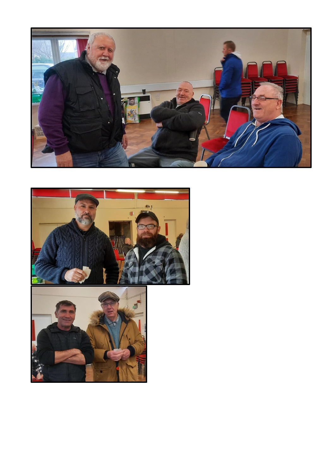